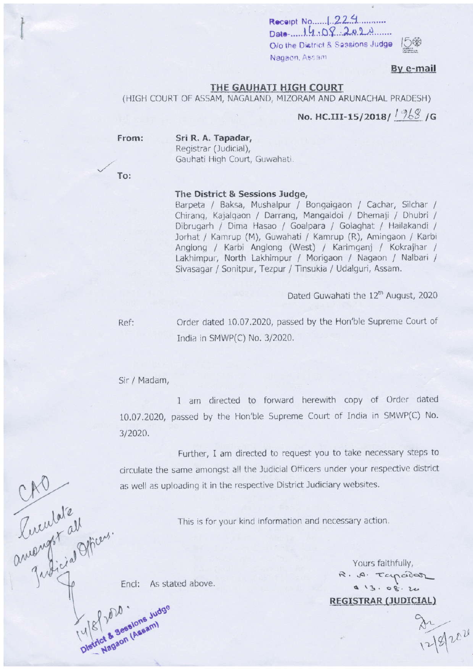$Date$ .  $14.08.202A$ O/o the District & Sessions Judge Nagaon, Assam

## By e-mail

#### THE GAUHATI HIGH COURT

(HIGH COURT OF ASSAM, NAGALAND, MIZORAM AND ARUNACHAL PRADESH)

No. HC.III-15/2018/  $1\frac{968}{96}$  /G

From:

Sri R. A. Tapadar, Registrar (Judicial), Gauhati High Court, Guwahati.

To:

#### The District & Sessions Judge,

Barpeta / Baksa, Mushalpur / Bongaigaon / Cachar, Silchar / Chirang, Kajalgaon / Darrang, Mangaldoi / Dhemaji / Dhubri / Dibrugarh / Dima Hasao / Goalpara / Golaghat / Hailakandi / Jorhat / Kamrup (M), Guwahati / Kamrup (R), Amingaon / Karbi Anglong / Karbi Anglong (West) / Karimganj / Kokrajhar / Lakhimpur, North Lakhimpur / Morigaon / Nagaon / Nalbari / Sivasagar / Sonitpur, Tezpur / Tinsukia / Udalguri, Assam.

Dated Guwahati the 12<sup>th</sup> August, 2020

Ref:

Order dated 10.07.2020, passed by the Hon'ble Supreme Court of India in SMWP(C) No. 3/2020.

Sir / Madam,

I am directed to forward herewith copy of Order dated 10.07.2020, passed by the Hon'ble Supreme Court of India in SMWP(C) No. 3/2020.

Further, I am directed to request you to take necessary steps to Prendate de Pillons. circulate the same amongst all the Judicial Officers under your respective district as well as uploading it in the respective District Judiciary websites.

This is for your kind information and necessary action.

As st Encl: As stated above.

Yours faithfully, R. A. Tapadar  $913.08.24$ **REGISTRAR (JUDICIAL)** 

 $\frac{84}{1219202}$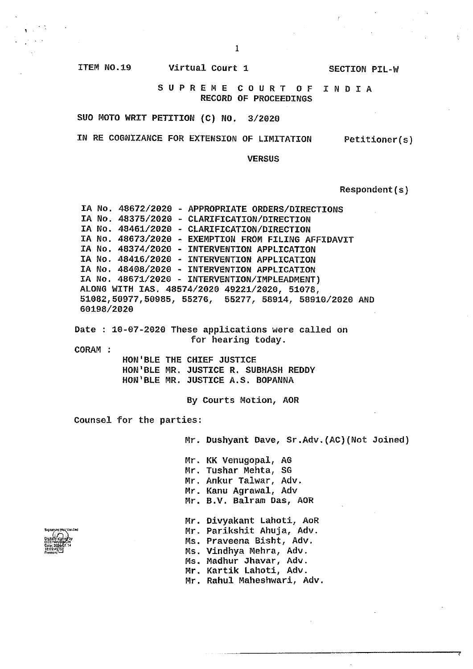$\overline{1}$ 

**SECTION PIL-W** 

ITEM NO.19

SUPREME COURT OF INDIA **RECORD OF PROCEEDINGS** 

SUO MOTO WRIT PETITION (C) NO. 3/2020

IN RE COGNIZANCE FOR EXTENSION OF LIMITATION

Virtual Court 1

Petitioner(s)

**VERSUS** 

# Respondent(s)

 $\ddot{\phantom{a}}$ 

|                          | IA No. 48672/2020 - APPROPRIATE ORDERS/DIRECTIONS<br>IA No. 48375/2020 - CLARIFICATION/DIRECTION<br>IA No. 48461/2020 - CLARIFICATION/DIRECTION<br>IA No. 48673/2020 - EXEMPTION FROM FILING AFFIDAVIT<br>IA No. 48374/2020 - INTERVENTION APPLICATION   |
|--------------------------|----------------------------------------------------------------------------------------------------------------------------------------------------------------------------------------------------------------------------------------------------------|
| 60198/2020               | IA No. 48416/2020 - INTERVENTION APPLICATION<br>IA No. 48408/2020 - INTERVENTION APPLICATION<br>IA No. 48671/2020 - INTERVENTION/IMPLEADMENT)<br>ALONG WITH IAS, 48574/2020 49221/2020, 51078,<br>51082,50977,50985, 55276, 55277, 58914, 58910/2020 AND |
| CORAM :                  | Date: 10-07-2020 These applications were called on<br>for hearing today.                                                                                                                                                                                 |
|                          | HON'BLE THE CHIEF JUSTICE<br>HON'BLE MR. JUSTICE R. SUBHASH REDDY<br>HON'BLE MR. JUSTICE A.S. BOPANNA                                                                                                                                                    |
|                          | By Courts Motion, AOR                                                                                                                                                                                                                                    |
| Counsel for the parties: |                                                                                                                                                                                                                                                          |
|                          | Mr. Dushyant Dave, Sr.Adv. (AC) (Not Joined)                                                                                                                                                                                                             |
|                          | Mr. KK Venugopal, AG<br>Mr. Tushar Mehta, SG<br>Mr. Ankur Talwar, Adv.<br>Mr. Kanu Agrawal, Adv                                                                                                                                                          |
| r.ed                     | Mr. B.V. Balram Das, AOR<br>Mr. Divyakant Lahoti, AoR<br>Mr. Parikshit Ahuja, Adv.<br>Ms. Praveena Bisht, Adv.                                                                                                                                           |
|                          | Ms. Vindhya Mehra, Adv.<br>Ms. Madhur Jhavar, Adv.<br>Mr. Kartik Lahoti, Adv.<br>Mr. Rahul Maheshwari, Adv.                                                                                                                                              |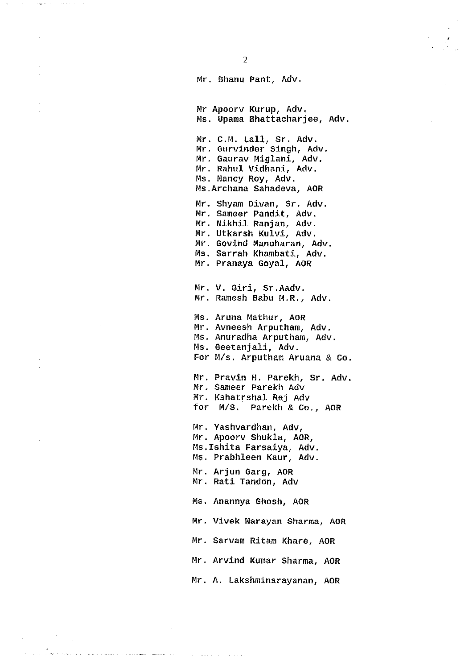Mr Apoorv Kurup, Adv. Ms. Upama Bhattacharjee, Adv. Mr. C.M. Lall, Sr. Adv. Mr. Gurvinder Singh, Adv. Mr. Gaurav Miglani, Adv. Mr. Rahul Vidhani, Adv. Ms. Nancy Roy, Adv. Ms. Archana Sahadeva, AOR Mr. Shyam Divan, Sr. Adv. Mr. Sameer Pandit, Adv. Mr. Nikhil Ranjan, Adv. Mr. Utkarsh Kulvi, Adv. Mr. Govind Manoharan, Adv. Ms. Sarrah Khambati, Adv. Mr. Pranaya Goyal, AOR Mr. V. Giri, Sr.Aadv. Mr. Ramesh Babu M.R., Adv. Ms. Aruna Mathur, AOR Mr. Avneesh Arputham, Adv. Ms. Anuradha Arputham, Adv. Ms. Geetanjali, Adv. For M/s. Arputham Aruana & Co. Mr. Pravin H. Parekh, Sr. Adv. Mr. Sameer Parekh Adv Mr. Kshatrshal Raj Adv for M/S. Parekh & Co., AOR Mr. Yashvardhan, Adv, Mr. Apoorv Shukla, AOR, Ms. Ishita Farsaiya, Adv. Ms. Prabhleen Kaur, Adv. Mr. Arjun Garg, AOR Mr. Rati Tandon, Adv Ms. Anannya Ghosh, AOR Mr. Vivek Narayan Sharma, AOR Mr. Sarvam Ritam Khare, AOR Mr. Arvind Kumar Sharma, AOR

Mr. A. Lakshminarayanan, AOR

 $\sim$   $\sim$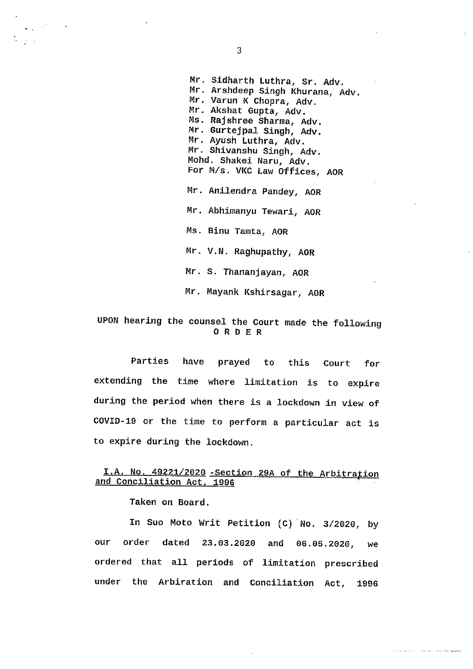- 11

Mr. Sidharth Luthra, Sr. Adv. Mr. Arshdeep Singh Khurana, Adv. Mr. Varun K Chopra, Adv. Mr. Akshat Gupta, Adv. Ms. Rajshree Sharma, Adv. Mr. Gurtejpal Singh, Adv. Mr. Ayush Luthra, Adv. Mr. Shivanshu Singh, Adv. Mohd. Shakei Naru, Adv. For M/s. VKC Law Offices, AOR Mr. Anilendra Pandey, AOR Mr. Abhimanyu Tewari, AOR Ms. Binu Tamta, AOR Mr. V.N. Raghupathy, AOR Mr. S. Thananjayan, AOR Mr. Mayank Kshirsagar, AOR

## UPON hearing the counsel the Court made the following ORDER

Parties have praved to this Court for extending the time where limitation is to expire during the period when there is a lockdown in view of COVID-19 or the time to perform a particular act is to expire during the lockdown.

### I.A. No. 49221/2020 - Section 29A of the Arbitration and Conciliation Act, 1996

Taken on Board.

In Suo Moto Writ Petition (C) No. 3/2020, by our order dated 23.03.2020 and 06.05.2020. we ordered that all periods of limitation prescribed under the Arbiration and Conciliation Act, 1996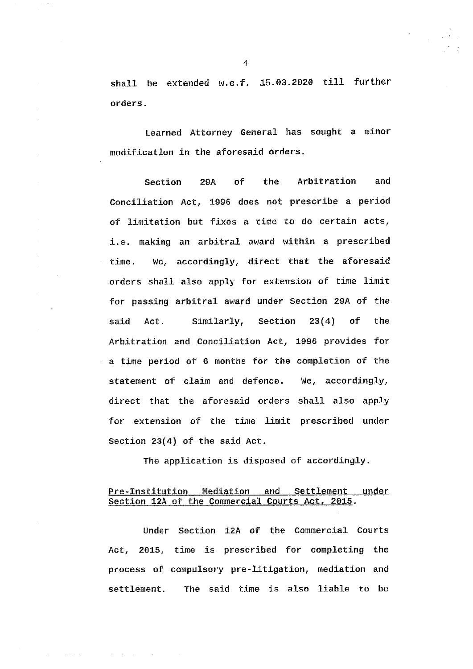shall be extended w.e.f. 15.03.2020 till further orders.

Learned Attorney General has sought a minor modification in the aforesaid orders.

Section **29A** of **the** Arbitration and Conciliation Act, 1996 does not prescribe a period of limitation but fixes a time to do certain acts, i.e. making an arbitral award within a prescribed We, accordingly, direct that the aforesaid time. orders shall also apply for extension of time limit for passing arbitral award under Section 29A of the said Act. Similarly, Section  $23(4)$  of the Arbitration and Conciliation Act, 1996 provides for a time period of 6 months for the completion of the statement of claim and defence. We,  $accordingly,$ direct that the aforesaid orders shall also apply for extension of the time limit prescribed under Section  $23(4)$  of the said Act.

The application is disposed of accordingly.

#### Pre-Institution Mediation and Settlement under Section 12A of the Commercial Courts Act, 2015.

Under Section 12A of the Commercial Courts Act, 2015, time is prescribed for completing the process of compulsory pre-litigation, mediation and The said time is also liable to be settlement.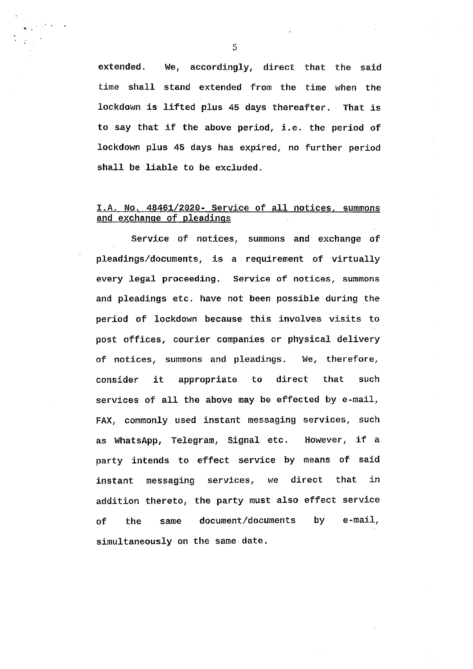extended. We, accordingly, direct that the said time shall stand extended from the time when the lockdown is lifted plus 45 days thereafter. That is to say that if the above period, i.e. the period of lockdown plus 45 days has expired, no further period shall be liable to be excluded.

## I.A. No. 48461/2020- Service of all notices, summons and exchange of pleadings

Service of notices, summons and exchange of pleadings/documents, is a requirement of virtually every legal proceeding. Service of notices, summons and pleadings etc. have not been possible during the period of lockdown because this involves visits to post offices, courier companies or physical delivery of notices, summons and pleadings. We, therefore, consider it appropriate to direct that such services of all the above may be effected by e-mail, FAX, commonly used instant messaging services, such as WhatsApp, Telegram, Signal etc. However, if a party intends to effect service by means of said messaging services, we direct that in instant addition thereto, the party must also effect service document/documents by  $e$ -mail. of the same simultaneously on the same date.